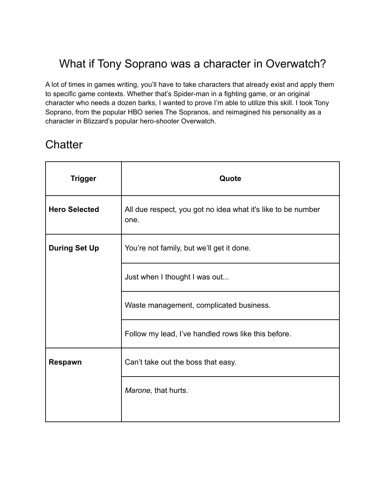### What if Tony Soprano was a character in Overwatch?

A lot of times in games writing, you'll have to take characters that already exist and apply them to specific game contexts. Whether that's Spider-man in a fighting game, or an original character who needs a dozen barks, I wanted to prove I'm able to utilize this skill. I took Tony Soprano, from the popular HBO series The Sopranos, and reimagined his personality as a character in Blizzard's popular hero-shooter Overwatch.

#### **Chatter**

| Quote                                                                |
|----------------------------------------------------------------------|
| All due respect, you got no idea what it's like to be number<br>one. |
| You're not family, but we'll get it done.                            |
| Just when I thought I was out                                        |
| Waste management, complicated business.                              |
| Follow my lead, I've handled rows like this before.                  |
| Can't take out the boss that easy.                                   |
| Marone, that hurts.                                                  |
|                                                                      |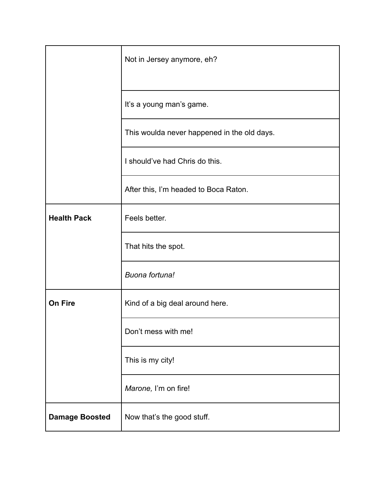|                       | Not in Jersey anymore, eh?                  |
|-----------------------|---------------------------------------------|
|                       | It's a young man's game.                    |
|                       | This woulda never happened in the old days. |
|                       | I should've had Chris do this.              |
|                       | After this, I'm headed to Boca Raton.       |
| <b>Health Pack</b>    | Feels better.                               |
|                       | That hits the spot.                         |
|                       | Buona fortuna!                              |
| <b>On Fire</b>        | Kind of a big deal around here.             |
|                       | Don't mess with me!                         |
|                       | This is my city!                            |
|                       | Marone, I'm on fire!                        |
| <b>Damage Boosted</b> | Now that's the good stuff.                  |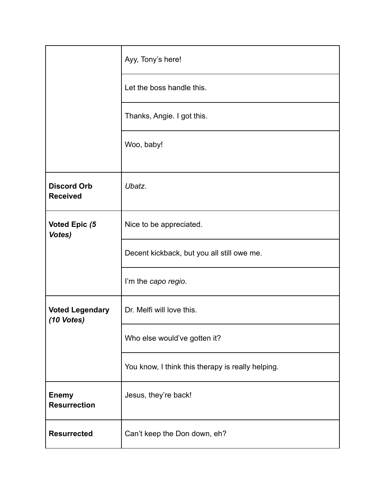|                                       | Ayy, Tony's here!                                 |
|---------------------------------------|---------------------------------------------------|
|                                       | Let the boss handle this.                         |
|                                       | Thanks, Angie. I got this.                        |
|                                       | Woo, baby!                                        |
| <b>Discord Orb</b><br><b>Received</b> | Ubatz.                                            |
| Voted Epic (5<br>Votes)               | Nice to be appreciated.                           |
|                                       | Decent kickback, but you all still owe me.        |
|                                       | I'm the capo regio.                               |
| <b>Voted Legendary</b><br>(10 Votes)  | Dr. Melfi will love this.                         |
|                                       | Who else would've gotten it?                      |
|                                       | You know, I think this therapy is really helping. |
| <b>Enemy</b><br><b>Resurrection</b>   | Jesus, they're back!                              |
| <b>Resurrected</b>                    | Can't keep the Don down, eh?                      |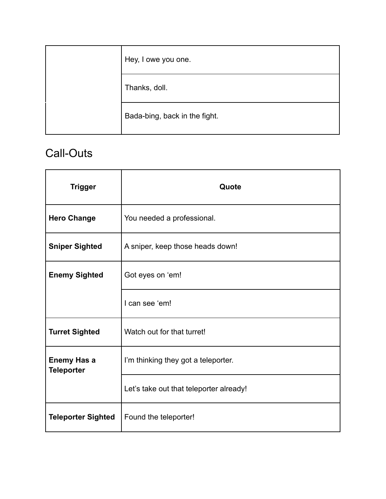| Hey, I owe you one.           |
|-------------------------------|
| Thanks, doll.                 |
| Bada-bing, back in the fight. |

### Call-Outs

| <b>Trigger</b>                          | Quote                                   |
|-----------------------------------------|-----------------------------------------|
| <b>Hero Change</b>                      | You needed a professional.              |
| <b>Sniper Sighted</b>                   | A sniper, keep those heads down!        |
| <b>Enemy Sighted</b>                    | Got eyes on 'em!                        |
|                                         | I can see 'em!                          |
| <b>Turret Sighted</b>                   | Watch out for that turret!              |
| <b>Enemy Has a</b><br><b>Teleporter</b> | I'm thinking they got a teleporter.     |
|                                         | Let's take out that teleporter already! |
| <b>Teleporter Sighted</b>               | Found the teleporter!                   |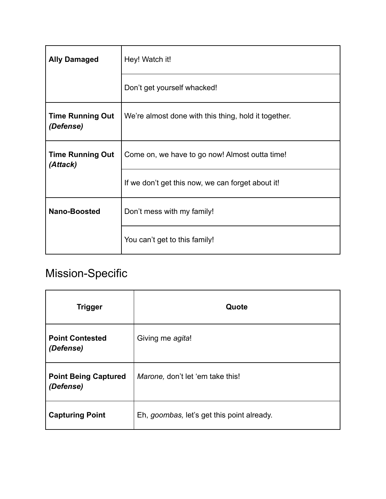| <b>Ally Damaged</b>                  | Hey! Watch it!                                       |
|--------------------------------------|------------------------------------------------------|
|                                      | Don't get yourself whacked!                          |
| <b>Time Running Out</b><br>(Defense) | We're almost done with this thing, hold it together. |
| <b>Time Running Out</b><br>(Attack)  | Come on, we have to go now! Almost outta time!       |
|                                      | If we don't get this now, we can forget about it!    |
| Nano-Boosted                         | Don't mess with my family!                           |
|                                      | You can't get to this family!                        |

# Mission-Specific

| <b>Trigger</b>                           | Quote                                      |
|------------------------------------------|--------------------------------------------|
| <b>Point Contested</b><br>(Defense)      | Giving me agita!                           |
| <b>Point Being Captured</b><br>(Defense) | Marone, don't let 'em take this!           |
| <b>Capturing Point</b>                   | Eh, goombas, let's get this point already. |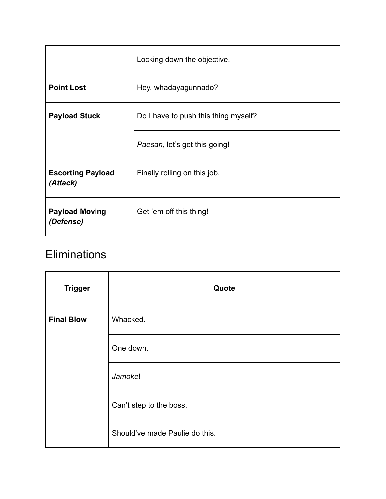|                                      | Locking down the objective.          |
|--------------------------------------|--------------------------------------|
| <b>Point Lost</b>                    | Hey, whadayagunnado?                 |
| <b>Payload Stuck</b>                 | Do I have to push this thing myself? |
|                                      | Paesan, let's get this going!        |
| <b>Escorting Payload</b><br>(Attack) | Finally rolling on this job.         |
| <b>Payload Moving</b><br>(Defense)   | Get 'em off this thing!              |

### **Eliminations**

| <b>Trigger</b>    | Quote                          |
|-------------------|--------------------------------|
| <b>Final Blow</b> | Whacked.                       |
|                   | One down.                      |
|                   | Jamoke!                        |
|                   | Can't step to the boss.        |
|                   | Should've made Paulie do this. |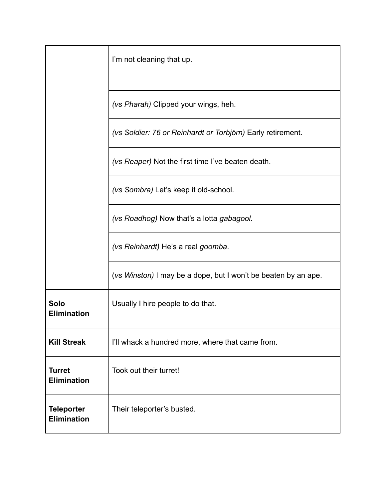|                                         | I'm not cleaning that up.                                      |
|-----------------------------------------|----------------------------------------------------------------|
|                                         | (vs Pharah) Clipped your wings, heh.                           |
|                                         | (vs Soldier: 76 or Reinhardt or Torbjörn) Early retirement.    |
|                                         | (vs Reaper) Not the first time I've beaten death.              |
|                                         | (vs Sombra) Let's keep it old-school.                          |
|                                         | (vs Roadhog) Now that's a lotta gabagool.                      |
|                                         | (vs Reinhardt) He's a real goomba.                             |
|                                         | (vs Winston) I may be a dope, but I won't be beaten by an ape. |
| Solo<br><b>Elimination</b>              | Usually I hire people to do that.                              |
| <b>Kill Streak</b>                      | I'll whack a hundred more, where that came from.               |
| <b>Turret</b><br><b>Elimination</b>     | Took out their turret!                                         |
| <b>Teleporter</b><br><b>Elimination</b> | Their teleporter's busted.                                     |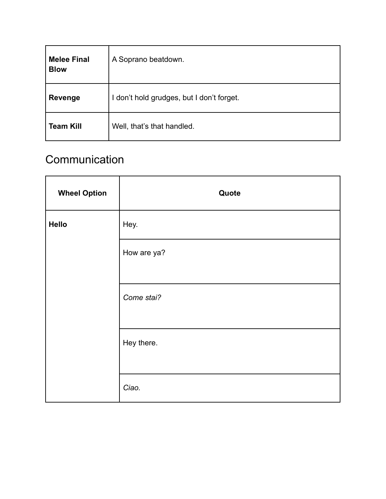| <b>Melee Final</b><br><b>Blow</b> | A Soprano beatdown.                       |
|-----------------------------------|-------------------------------------------|
| <b>Revenge</b>                    | I don't hold grudges, but I don't forget. |
| <b>Team Kill</b>                  | Well, that's that handled.                |

# **Communication**

| <b>Wheel Option</b> | Quote       |
|---------------------|-------------|
| Hello               | Hey.        |
|                     | How are ya? |
|                     | Come stai?  |
|                     | Hey there.  |
|                     | Ciao.       |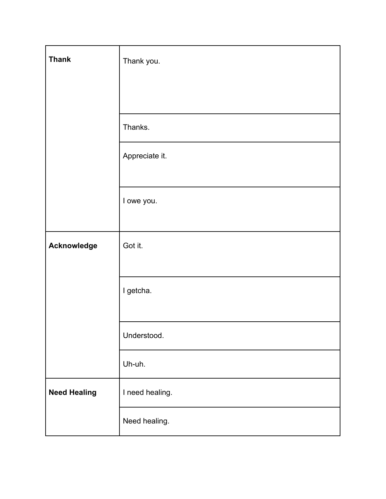| <b>Thank</b>        | Thank you.      |
|---------------------|-----------------|
|                     |                 |
|                     | Thanks.         |
|                     | Appreciate it.  |
|                     | I owe you.      |
| Acknowledge         | Got it.         |
|                     | I getcha.       |
|                     | Understood.     |
|                     | Uh-uh.          |
| <b>Need Healing</b> | I need healing. |
|                     | Need healing.   |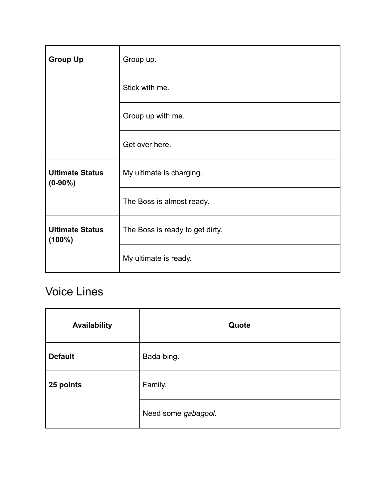| <b>Group Up</b>                      | Group up.                       |
|--------------------------------------|---------------------------------|
|                                      | Stick with me.                  |
|                                      | Group up with me.               |
|                                      | Get over here.                  |
| <b>Ultimate Status</b><br>$(0-90\%)$ | My ultimate is charging.        |
|                                      | The Boss is almost ready.       |
| <b>Ultimate Status</b><br>$(100\%)$  | The Boss is ready to get dirty. |
|                                      | My ultimate is ready.           |

## Voice Lines

| <b>Availability</b> | Quote               |
|---------------------|---------------------|
| <b>Default</b>      | Bada-bing.          |
| 25 points           | Family.             |
|                     | Need some gabagool. |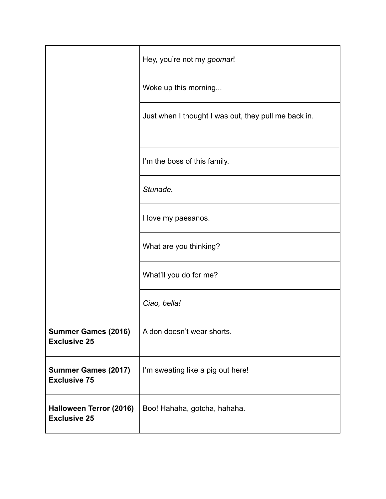|                                                   | Hey, you're not my goomar!                           |
|---------------------------------------------------|------------------------------------------------------|
|                                                   | Woke up this morning                                 |
|                                                   | Just when I thought I was out, they pull me back in. |
|                                                   | I'm the boss of this family.                         |
|                                                   | Stunade.                                             |
|                                                   | I love my paesanos.                                  |
|                                                   | What are you thinking?                               |
|                                                   | What'll you do for me?                               |
|                                                   | Ciao, bella!                                         |
| <b>Summer Games (2016)</b><br><b>Exclusive 25</b> | A don doesn't wear shorts.                           |
| <b>Summer Games (2017)</b><br><b>Exclusive 75</b> | I'm sweating like a pig out here!                    |
| Halloween Terror (2016)<br><b>Exclusive 25</b>    | Boo! Hahaha, gotcha, hahaha.                         |